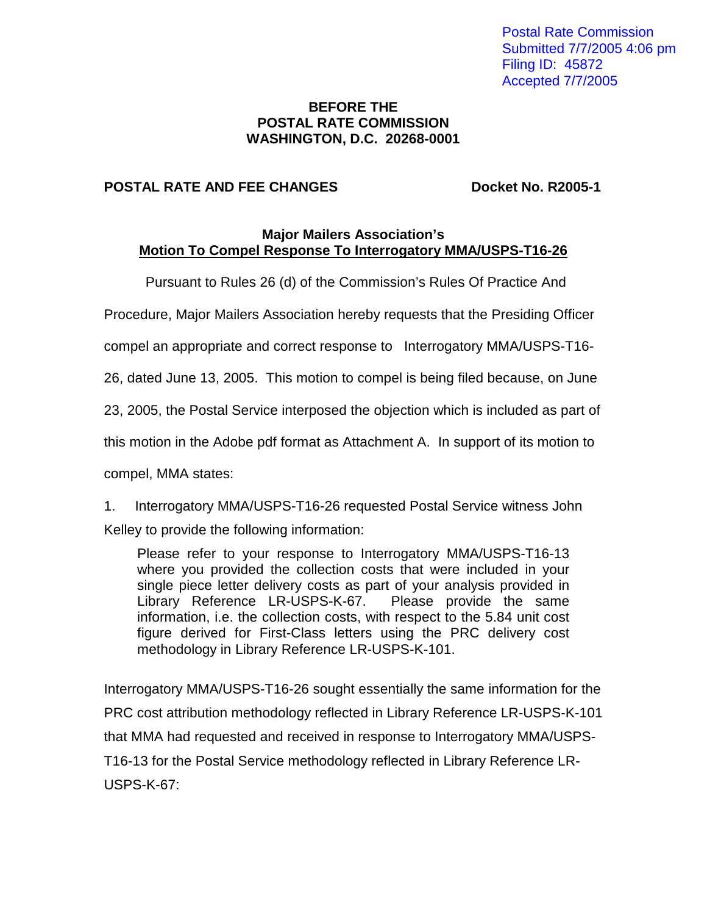Postal Rate Commission Submitted 7/7/2005 4:06 pm Filing ID: 45872 Accepted 7/7/2005

#### **BEFORE THE POSTAL RATE COMMISSION WASHINGTON, D.C. 20268-0001**

#### **POSTAL RATE AND FEE CHANGES Docket No. R2005-1**

#### **Major Mailers Association's Motion To Compel Response To Interrogatory MMA/USPS-T16-26**

Pursuant to Rules 26 (d) of the Commission's Rules Of Practice And

Procedure, Major Mailers Association hereby requests that the Presiding Officer

compel an appropriate and correct response to Interrogatory MMA/USPS-T16-

26, dated June 13, 2005. This motion to compel is being filed because, on June

23, 2005, the Postal Service interposed the objection which is included as part of

this motion in the Adobe pdf format as Attachment A. In support of its motion to

compel, MMA states:

1. Interrogatory MMA/USPS-T16-26 requested Postal Service witness John Kelley to provide the following information:

Please refer to your response to Interrogatory MMA/USPS-T16-13 where you provided the collection costs that were included in your single piece letter delivery costs as part of your analysis provided in Library Reference LR-USPS-K-67. Please provide the same information, i.e. the collection costs, with respect to the 5.84 unit cost figure derived for First-Class letters using the PRC delivery cost methodology in Library Reference LR-USPS-K-101.

Interrogatory MMA/USPS-T16-26 sought essentially the same information for the PRC cost attribution methodology reflected in Library Reference LR-USPS-K-101 that MMA had requested and received in response to Interrogatory MMA/USPS-T16-13 for the Postal Service methodology reflected in Library Reference LR-USPS-K-67: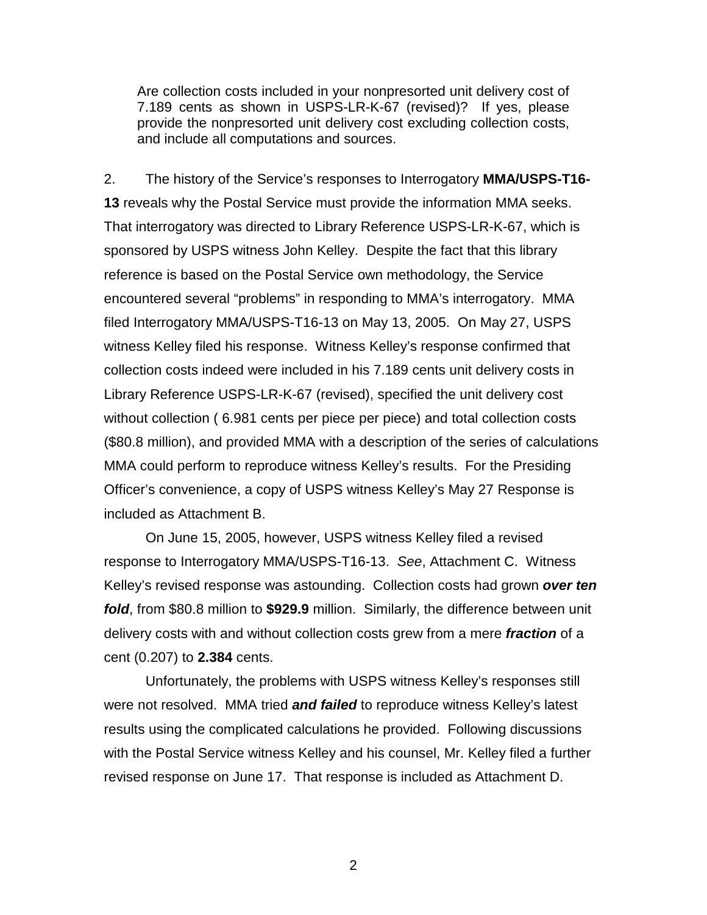Are collection costs included in your nonpresorted unit delivery cost of 7.189 cents as shown in USPS-LR-K-67 (revised)? If yes, please provide the nonpresorted unit delivery cost excluding collection costs, and include all computations and sources.

2. The history of the Service's responses to Interrogatory **MMA/USPS-T16- 13** reveals why the Postal Service must provide the information MMA seeks. That interrogatory was directed to Library Reference USPS-LR-K-67, which is sponsored by USPS witness John Kelley. Despite the fact that this library reference is based on the Postal Service own methodology, the Service encountered several "problems" in responding to MMA's interrogatory. MMA filed Interrogatory MMA/USPS-T16-13 on May 13, 2005. On May 27, USPS witness Kelley filed his response. Witness Kelley's response confirmed that collection costs indeed were included in his 7.189 cents unit delivery costs in Library Reference USPS-LR-K-67 (revised), specified the unit delivery cost without collection ( 6.981 cents per piece per piece) and total collection costs (\$80.8 million), and provided MMA with a description of the series of calculations MMA could perform to reproduce witness Kelley's results. For the Presiding Officer's convenience, a copy of USPS witness Kelley's May 27 Response is included as Attachment B.

On June 15, 2005, however, USPS witness Kelley filed a revised response to Interrogatory MMA/USPS-T16-13. See, Attachment C. Witness Kelley's revised response was astounding. Collection costs had grown **over ten fold**, from \$80.8 million to **\$929.9** million. Similarly, the difference between unit delivery costs with and without collection costs grew from a mere **fraction** of a cent (0.207) to **2.384** cents.

 Unfortunately, the problems with USPS witness Kelley's responses still were not resolved. MMA tried **and failed** to reproduce witness Kelley's latest results using the complicated calculations he provided. Following discussions with the Postal Service witness Kelley and his counsel, Mr. Kelley filed a further revised response on June 17. That response is included as Attachment D.

2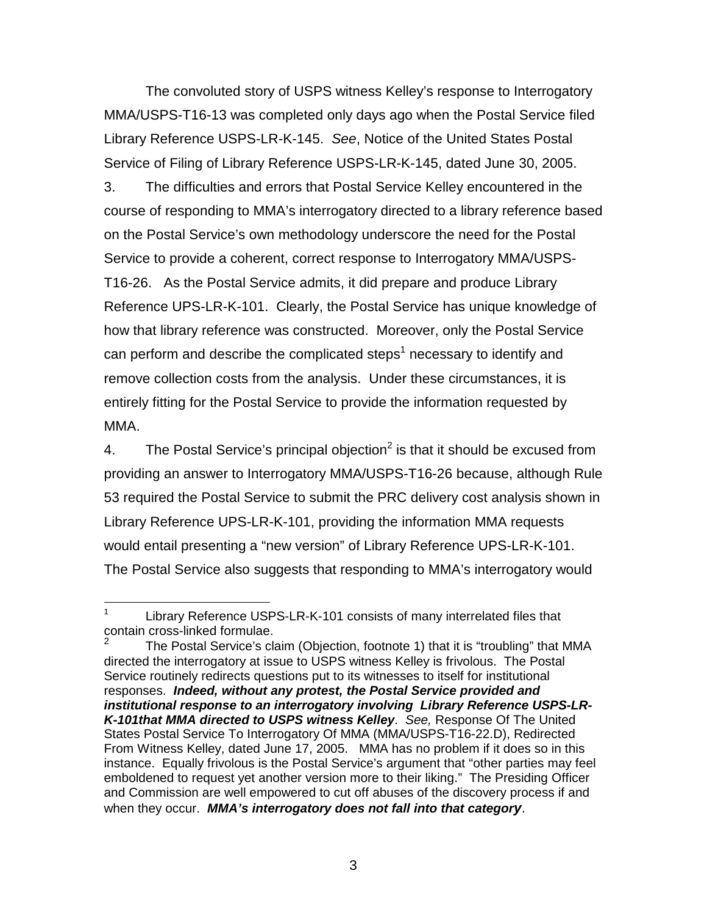The convoluted story of USPS witness Kelley's response to Interrogatory MMA/USPS-T16-13 was completed only days ago when the Postal Service filed Library Reference USPS-LR-K-145. See, Notice of the United States Postal Service of Filing of Library Reference USPS-LR-K-145, dated June 30, 2005.

3. The difficulties and errors that Postal Service Kelley encountered in the course of responding to MMA's interrogatory directed to a library reference based on the Postal Service's own methodology underscore the need for the Postal Service to provide a coherent, correct response to Interrogatory MMA/USPS-T16-26. As the Postal Service admits, it did prepare and produce Library Reference UPS-LR-K-101. Clearly, the Postal Service has unique knowledge of how that library reference was constructed. Moreover, only the Postal Service can perform and describe the complicated steps<sup>1</sup> necessary to identify and remove collection costs from the analysis. Under these circumstances, it is entirely fitting for the Postal Service to provide the information requested by MMA.

4. The Postal Service's principal objection<sup>2</sup> is that it should be excused from providing an answer to Interrogatory MMA/USPS-T16-26 because, although Rule 53 required the Postal Service to submit the PRC delivery cost analysis shown in Library Reference UPS-LR-K-101, providing the information MMA requests would entail presenting a "new version" of Library Reference UPS-LR-K-101. The Postal Service also suggests that responding to MMA's interrogatory would

<sup>&</sup>lt;sup>1</sup> Library Reference USPS-LR-K-101 consists of many interrelated files that contain cross-linked formulae.

<sup>2</sup> The Postal Service's claim (Objection, footnote 1) that it is "troubling" that MMA directed the interrogatory at issue to USPS witness Kelley is frivolous. The Postal Service routinely redirects questions put to its witnesses to itself for institutional responses. **Indeed, without any protest, the Postal Service provided and institutional response to an interrogatory involving Library Reference USPS-LR-K-101that MMA directed to USPS witness Kelley**. See, Response Of The United States Postal Service To Interrogatory Of MMA (MMA/USPS-T16-22.D), Redirected From Witness Kelley, dated June 17, 2005. MMA has no problem if it does so in this instance. Equally frivolous is the Postal Service's argument that "other parties may feel emboldened to request yet another version more to their liking." The Presiding Officer and Commission are well empowered to cut off abuses of the discovery process if and when they occur. **MMA's interrogatory does not fall into that category**.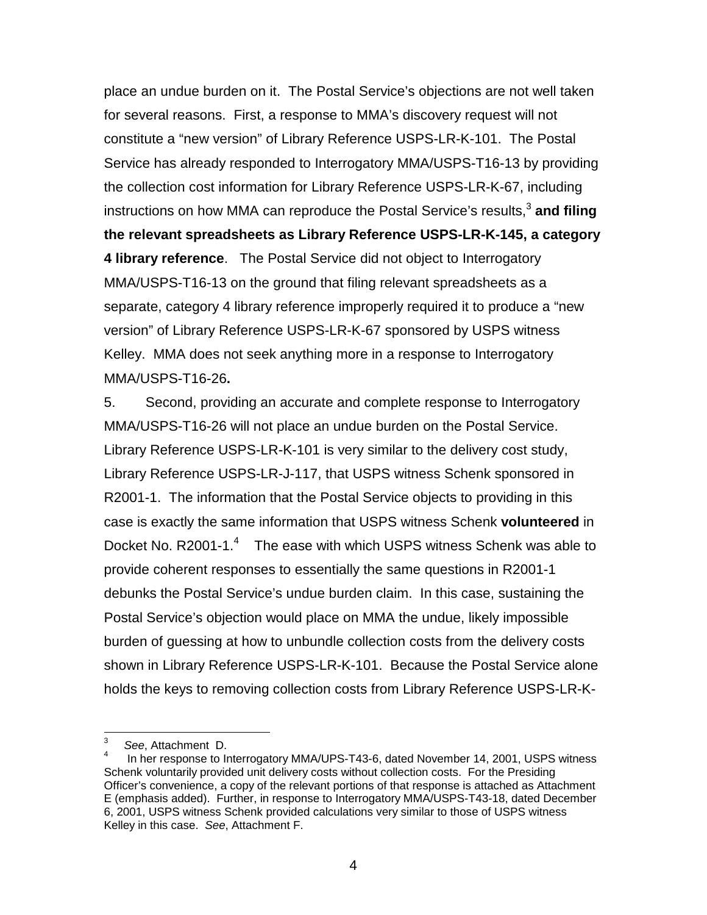place an undue burden on it. The Postal Service's objections are not well taken for several reasons. First, a response to MMA's discovery request will not constitute a "new version" of Library Reference USPS-LR-K-101. The Postal Service has already responded to Interrogatory MMA/USPS-T16-13 by providing the collection cost information for Library Reference USPS-LR-K-67, including instructions on how MMA can reproduce the Postal Service's results,<sup>3</sup> and filing **the relevant spreadsheets as Library Reference USPS-LR-K-145, a category 4 library reference**. The Postal Service did not object to Interrogatory MMA/USPS-T16-13 on the ground that filing relevant spreadsheets as a separate, category 4 library reference improperly required it to produce a "new version" of Library Reference USPS-LR-K-67 sponsored by USPS witness Kelley. MMA does not seek anything more in a response to Interrogatory MMA/USPS-T16-26**.**

5. Second, providing an accurate and complete response to Interrogatory MMA/USPS-T16-26 will not place an undue burden on the Postal Service. Library Reference USPS-LR-K-101 is very similar to the delivery cost study, Library Reference USPS-LR-J-117, that USPS witness Schenk sponsored in R2001-1. The information that the Postal Service objects to providing in this case is exactly the same information that USPS witness Schenk **volunteered** in Docket No. R2001-1.<sup>4</sup> The ease with which USPS witness Schenk was able to provide coherent responses to essentially the same questions in R2001-1 debunks the Postal Service's undue burden claim. In this case, sustaining the Postal Service's objection would place on MMA the undue, likely impossible burden of guessing at how to unbundle collection costs from the delivery costs shown in Library Reference USPS-LR-K-101. Because the Postal Service alone holds the keys to removing collection costs from Library Reference USPS-LR-K-

 $3$  See, Attachment D.

In her response to Interrogatory MMA/UPS-T43-6, dated November 14, 2001, USPS witness Schenk voluntarily provided unit delivery costs without collection costs. For the Presiding Officer's convenience, a copy of the relevant portions of that response is attached as Attachment E (emphasis added). Further, in response to Interrogatory MMA/USPS-T43-18, dated December 6, 2001, USPS witness Schenk provided calculations very similar to those of USPS witness Kelley in this case. See, Attachment F.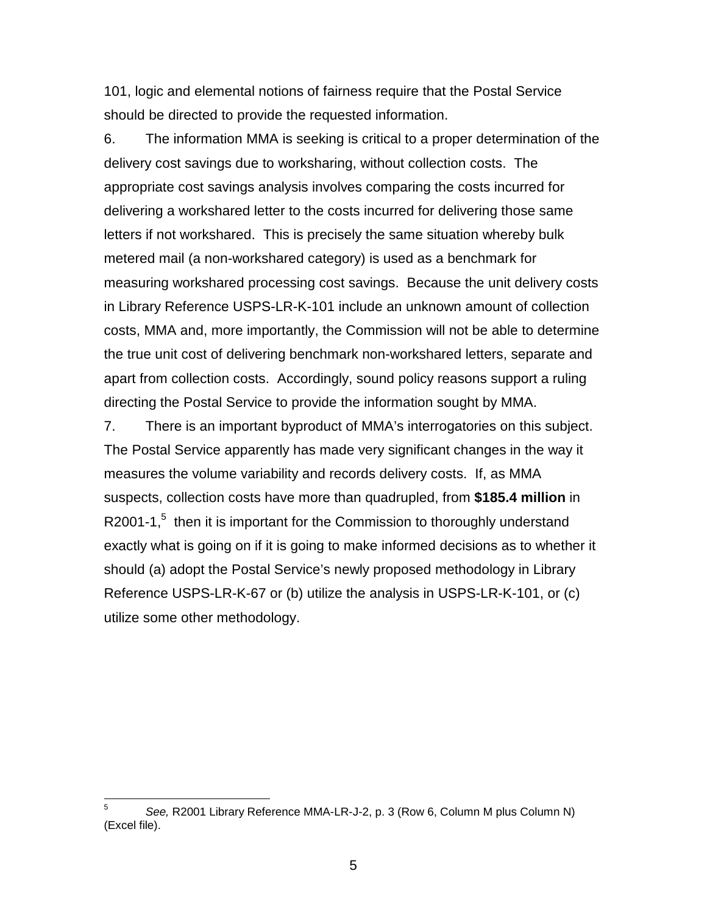101, logic and elemental notions of fairness require that the Postal Service should be directed to provide the requested information.

6. The information MMA is seeking is critical to a proper determination of the delivery cost savings due to worksharing, without collection costs. The appropriate cost savings analysis involves comparing the costs incurred for delivering a workshared letter to the costs incurred for delivering those same letters if not workshared. This is precisely the same situation whereby bulk metered mail (a non-workshared category) is used as a benchmark for measuring workshared processing cost savings. Because the unit delivery costs in Library Reference USPS-LR-K-101 include an unknown amount of collection costs, MMA and, more importantly, the Commission will not be able to determine the true unit cost of delivering benchmark non-workshared letters, separate and apart from collection costs. Accordingly, sound policy reasons support a ruling directing the Postal Service to provide the information sought by MMA.

7. There is an important byproduct of MMA's interrogatories on this subject. The Postal Service apparently has made very significant changes in the way it measures the volume variability and records delivery costs. If, as MMA suspects, collection costs have more than quadrupled, from **\$185.4 million** in R2001-1,<sup>5</sup> then it is important for the Commission to thoroughly understand exactly what is going on if it is going to make informed decisions as to whether it should (a) adopt the Postal Service's newly proposed methodology in Library Reference USPS-LR-K-67 or (b) utilize the analysis in USPS-LR-K-101, or (c) utilize some other methodology.

 $5$  See, R2001 Library Reference MMA-LR-J-2, p. 3 (Row 6, Column M plus Column N) (Excel file).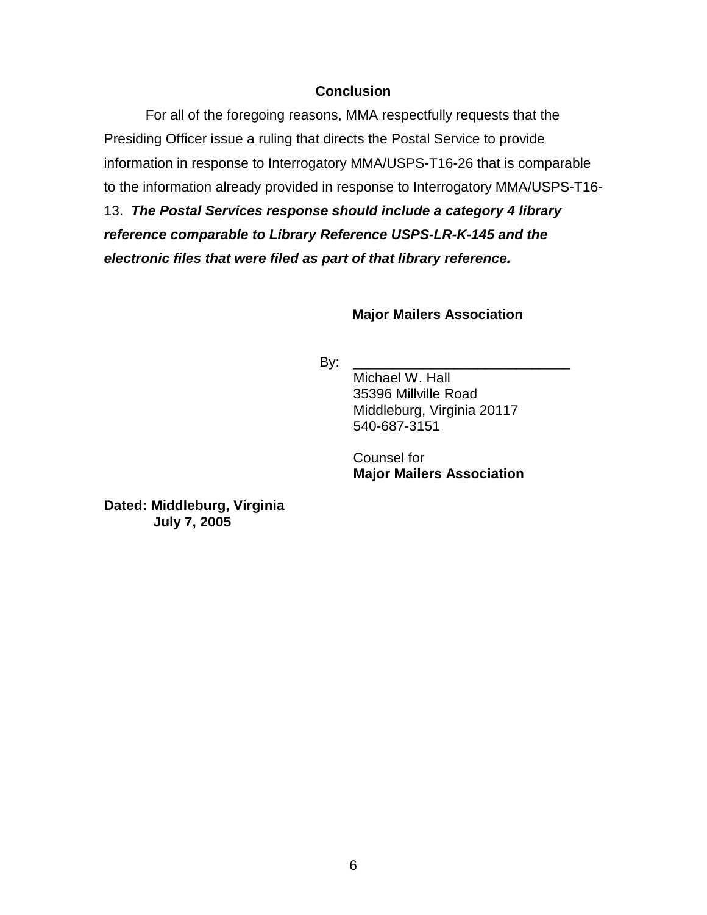#### **Conclusion**

For all of the foregoing reasons, MMA respectfully requests that the Presiding Officer issue a ruling that directs the Postal Service to provide information in response to Interrogatory MMA/USPS-T16-26 that is comparable to the information already provided in response to Interrogatory MMA/USPS-T16- 13. **The Postal Services response should include a category 4 library reference comparable to Library Reference USPS-LR-K-145 and the electronic files that were filed as part of that library reference.**

#### **Major Mailers Association**

By: \_\_\_\_\_\_\_\_\_\_\_\_\_\_\_\_\_\_\_\_\_\_\_\_\_\_\_\_

Michael W. Hall 35396 Millville Road Middleburg, Virginia 20117 540-687-3151

Counsel for **Major Mailers Association** 

**Dated: Middleburg, Virginia July 7, 2005**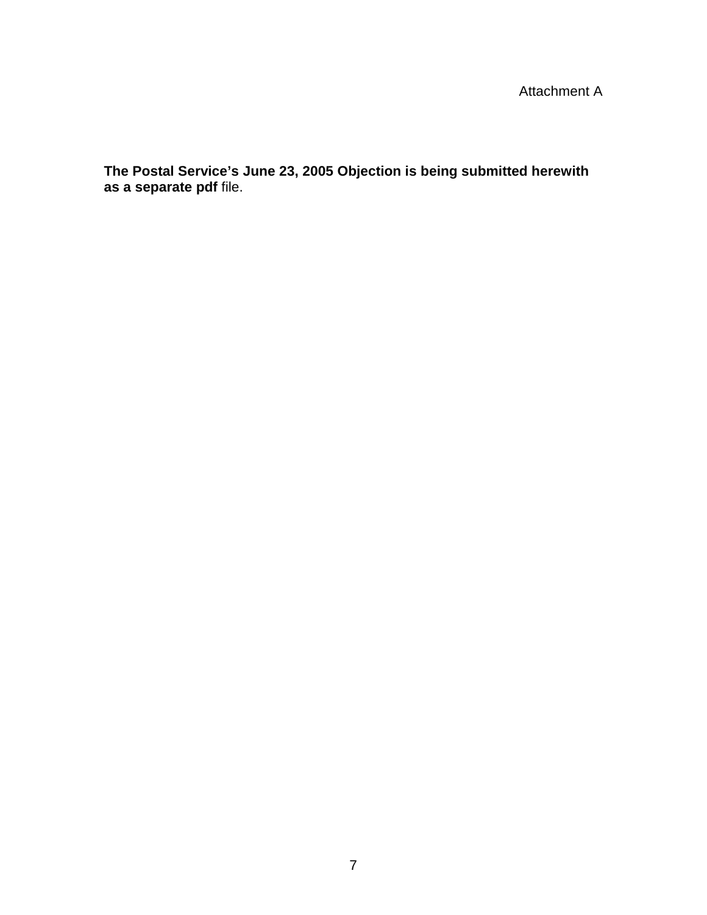# Attachment A

**The Postal Service's June 23, 2005 Objection is being submitted herewith as a separate pdf** file.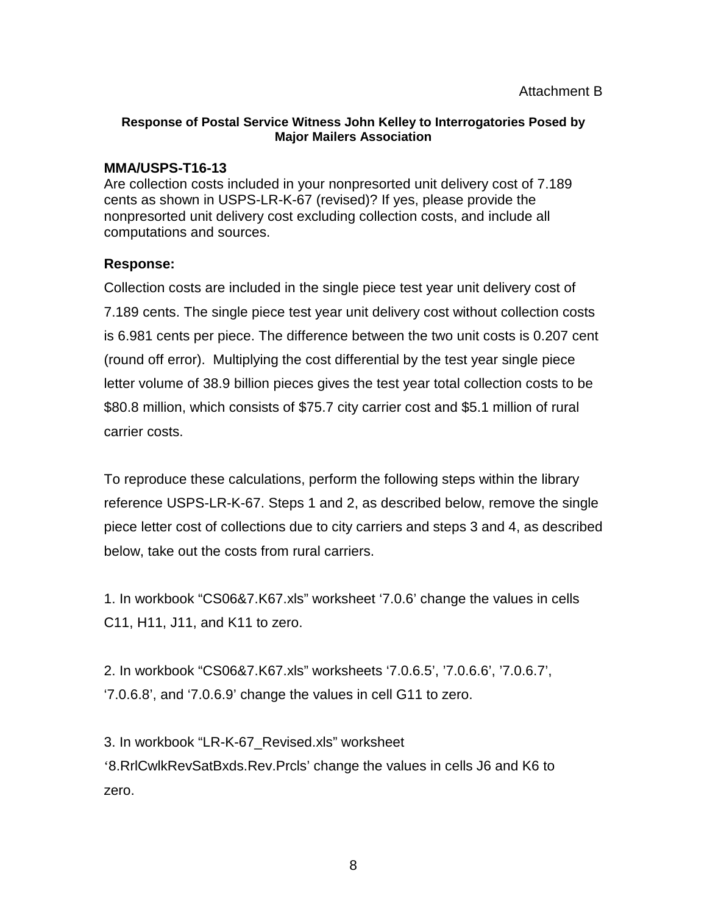#### **Response of Postal Service Witness John Kelley to Interrogatories Posed by Major Mailers Association**

## **MMA/USPS-T16-13**

Are collection costs included in your nonpresorted unit delivery cost of 7.189 cents as shown in USPS-LR-K-67 (revised)? If yes, please provide the nonpresorted unit delivery cost excluding collection costs, and include all computations and sources.

## **Response:**

Collection costs are included in the single piece test year unit delivery cost of 7.189 cents. The single piece test year unit delivery cost without collection costs is 6.981 cents per piece. The difference between the two unit costs is 0.207 cent (round off error). Multiplying the cost differential by the test year single piece letter volume of 38.9 billion pieces gives the test year total collection costs to be \$80.8 million, which consists of \$75.7 city carrier cost and \$5.1 million of rural carrier costs.

To reproduce these calculations, perform the following steps within the library reference USPS-LR-K-67. Steps 1 and 2, as described below, remove the single piece letter cost of collections due to city carriers and steps 3 and 4, as described below, take out the costs from rural carriers.

1. In workbook "CS06&7.K67.xls" worksheet '7.0.6' change the values in cells C11, H11, J11, and K11 to zero.

2. In workbook "CS06&7.K67.xls" worksheets '7.0.6.5', '7.0.6.6', '7.0.6.7', '7.0.6.8', and '7.0.6.9' change the values in cell G11 to zero.

3. In workbook "LR-K-67\_Revised.xls" worksheet '8.RrlCwlkRevSatBxds.Rev.Prcls' change the values in cells J6 and K6 to zero.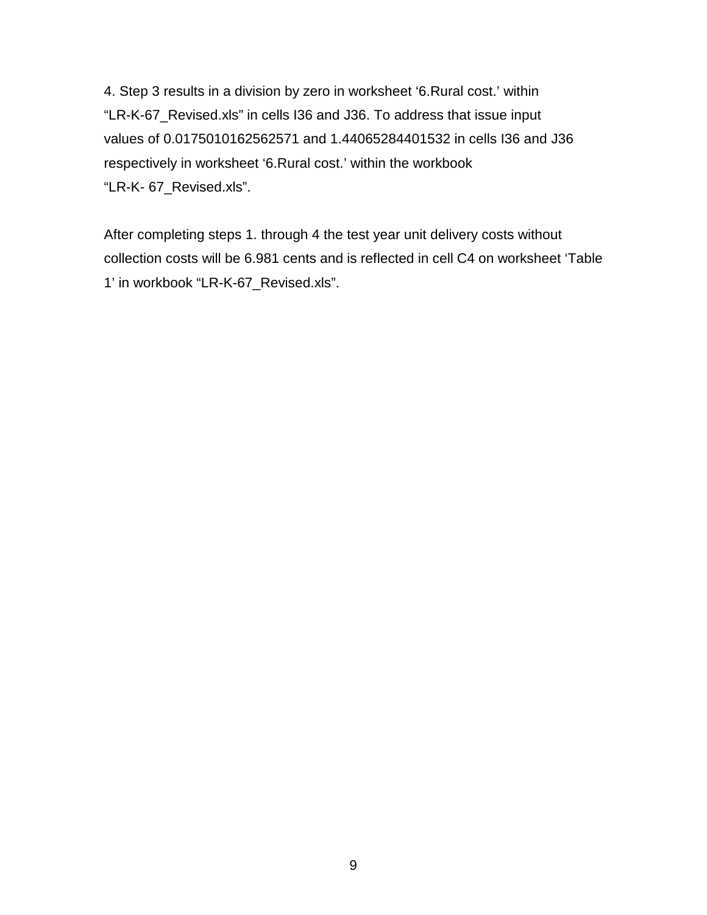4. Step 3 results in a division by zero in worksheet '6.Rural cost.' within "LR-K-67\_Revised.xls" in cells I36 and J36. To address that issue input values of 0.0175010162562571 and 1.44065284401532 in cells I36 and J36 respectively in worksheet '6.Rural cost.' within the workbook "LR-K- 67\_Revised.xls".

After completing steps 1. through 4 the test year unit delivery costs without collection costs will be 6.981 cents and is reflected in cell C4 on worksheet 'Table 1' in workbook "LR-K-67\_Revised.xls".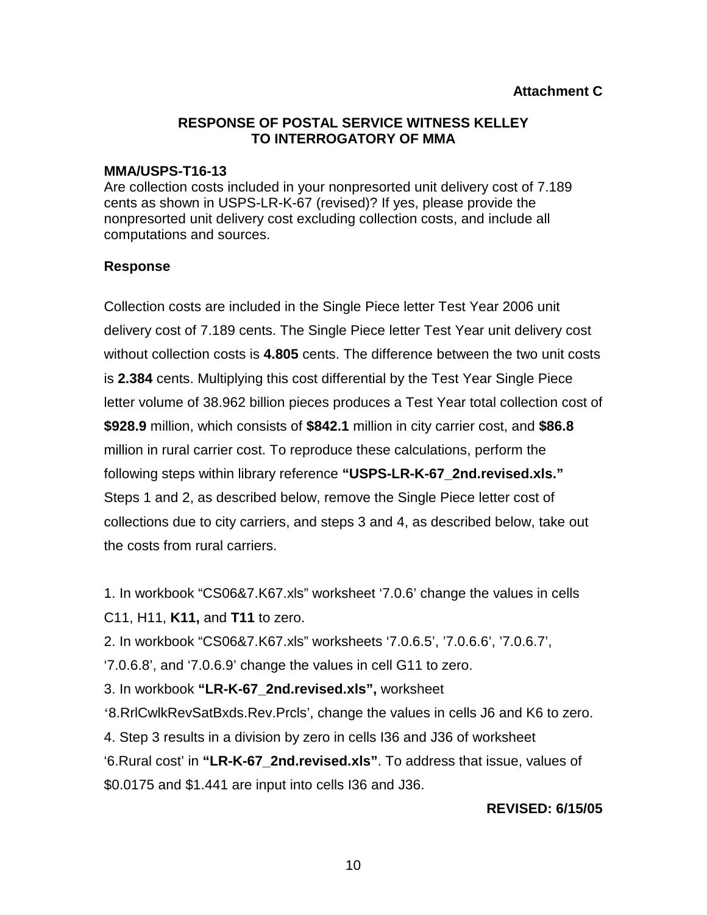#### **MMA/USPS-T16-13**

Are collection costs included in your nonpresorted unit delivery cost of 7.189 cents as shown in USPS-LR-K-67 (revised)? If yes, please provide the nonpresorted unit delivery cost excluding collection costs, and include all computations and sources.

## **Response**

Collection costs are included in the Single Piece letter Test Year 2006 unit delivery cost of 7.189 cents. The Single Piece letter Test Year unit delivery cost without collection costs is **4.805** cents. The difference between the two unit costs is **2.384** cents. Multiplying this cost differential by the Test Year Single Piece letter volume of 38.962 billion pieces produces a Test Year total collection cost of **\$928.9** million, which consists of **\$842.1** million in city carrier cost, and **\$86.8**  million in rural carrier cost. To reproduce these calculations, perform the following steps within library reference **"USPS-LR-K-67\_2nd.revised.xls."**  Steps 1 and 2, as described below, remove the Single Piece letter cost of collections due to city carriers, and steps 3 and 4, as described below, take out the costs from rural carriers.

1. In workbook "CS06&7.K67.xls" worksheet '7.0.6' change the values in cells C11, H11, **K11,** and **T11** to zero.

2. In workbook "CS06&7.K67.xls" worksheets '7.0.6.5', '7.0.6.6', '7.0.6.7',

'7.0.6.8', and '7.0.6.9' change the values in cell G11 to zero.

3. In workbook **"LR-K-67\_2nd.revised.xls",** worksheet

'8.RrlCwlkRevSatBxds.Rev.Prcls', change the values in cells J6 and K6 to zero.

4. Step 3 results in a division by zero in cells I36 and J36 of worksheet

'6.Rural cost' in **"LR-K-67\_2nd.revised.xls"**. To address that issue, values of \$0.0175 and \$1.441 are input into cells I36 and J36.

## **REVISED: 6/15/05**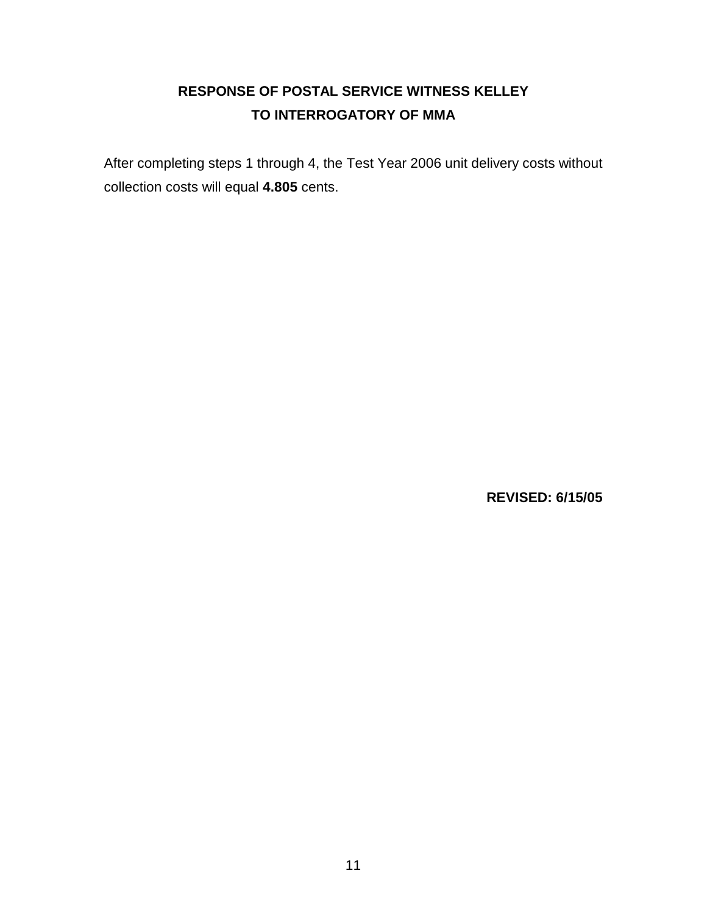After completing steps 1 through 4, the Test Year 2006 unit delivery costs without collection costs will equal **4.805** cents.

**REVISED: 6/15/05**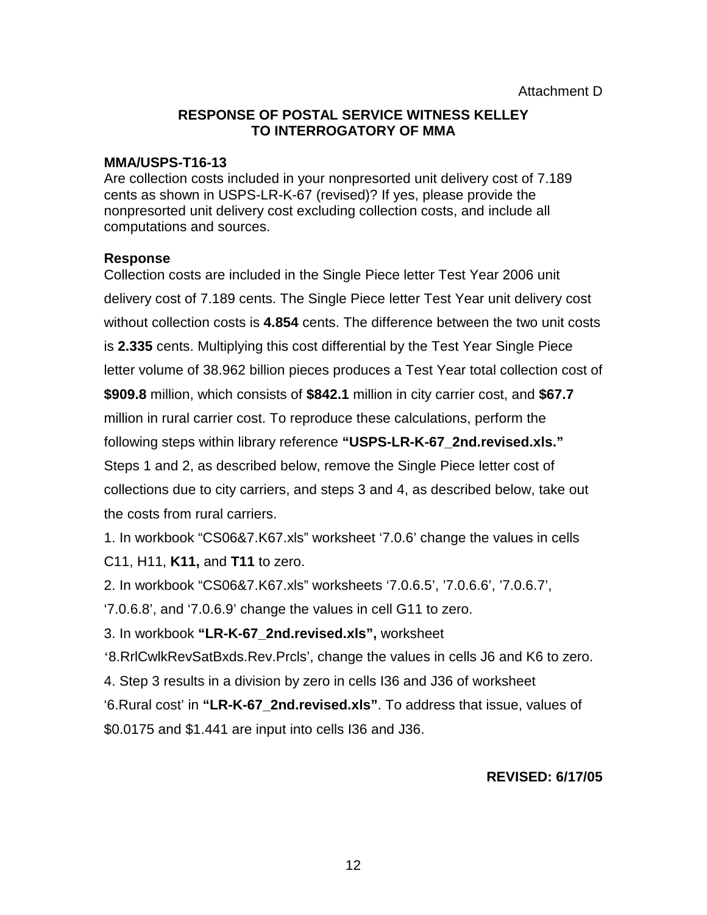#### **MMA/USPS-T16-13**

Are collection costs included in your nonpresorted unit delivery cost of 7.189 cents as shown in USPS-LR-K-67 (revised)? If yes, please provide the nonpresorted unit delivery cost excluding collection costs, and include all computations and sources.

#### **Response**

Collection costs are included in the Single Piece letter Test Year 2006 unit delivery cost of 7.189 cents. The Single Piece letter Test Year unit delivery cost without collection costs is **4.854** cents. The difference between the two unit costs is **2.335** cents. Multiplying this cost differential by the Test Year Single Piece letter volume of 38.962 billion pieces produces a Test Year total collection cost of **\$909.8** million, which consists of **\$842.1** million in city carrier cost, and **\$67.7**  million in rural carrier cost. To reproduce these calculations, perform the following steps within library reference **"USPS-LR-K-67\_2nd.revised.xls."**  Steps 1 and 2, as described below, remove the Single Piece letter cost of collections due to city carriers, and steps 3 and 4, as described below, take out the costs from rural carriers.

1. In workbook "CS06&7.K67.xls" worksheet '7.0.6' change the values in cells C11, H11, **K11,** and **T11** to zero.

2. In workbook "CS06&7.K67.xls" worksheets '7.0.6.5', '7.0.6.6', '7.0.6.7',

'7.0.6.8', and '7.0.6.9' change the values in cell G11 to zero.

3. In workbook **"LR-K-67\_2nd.revised.xls",** worksheet

'8.RrlCwlkRevSatBxds.Rev.Prcls', change the values in cells J6 and K6 to zero.

4. Step 3 results in a division by zero in cells I36 and J36 of worksheet

'6.Rural cost' in **"LR-K-67\_2nd.revised.xls"**. To address that issue, values of \$0.0175 and \$1.441 are input into cells I36 and J36.

## **REVISED: 6/17/05**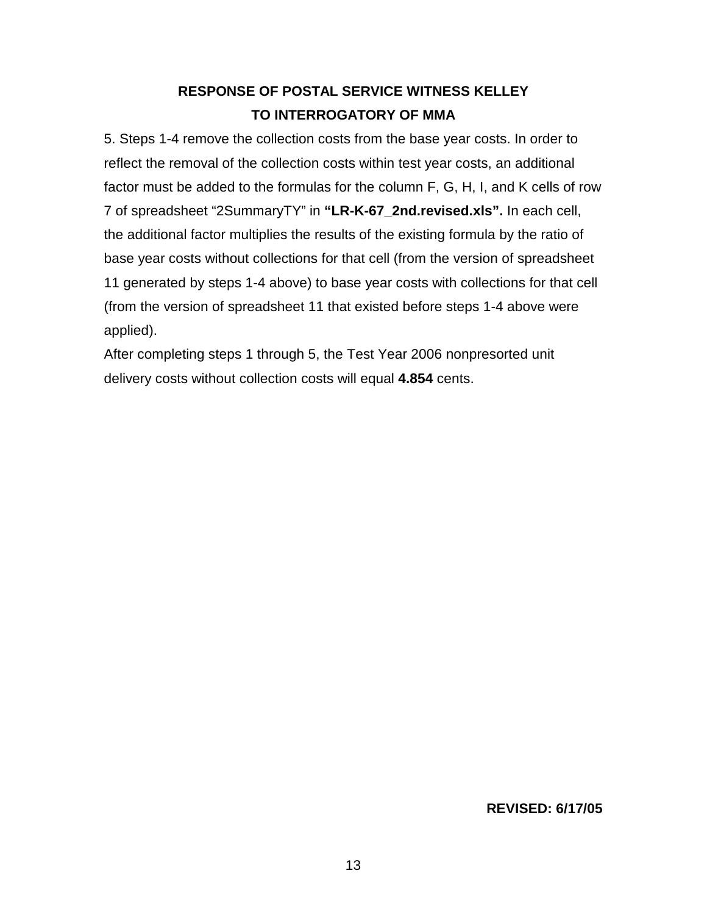5. Steps 1-4 remove the collection costs from the base year costs. In order to reflect the removal of the collection costs within test year costs, an additional factor must be added to the formulas for the column F, G, H, I, and K cells of row 7 of spreadsheet "2SummaryTY" in **"LR-K-67\_2nd.revised.xls".** In each cell, the additional factor multiplies the results of the existing formula by the ratio of base year costs without collections for that cell (from the version of spreadsheet 11 generated by steps 1-4 above) to base year costs with collections for that cell (from the version of spreadsheet 11 that existed before steps 1-4 above were applied).

After completing steps 1 through 5, the Test Year 2006 nonpresorted unit delivery costs without collection costs will equal **4.854** cents.

## **REVISED: 6/17/05**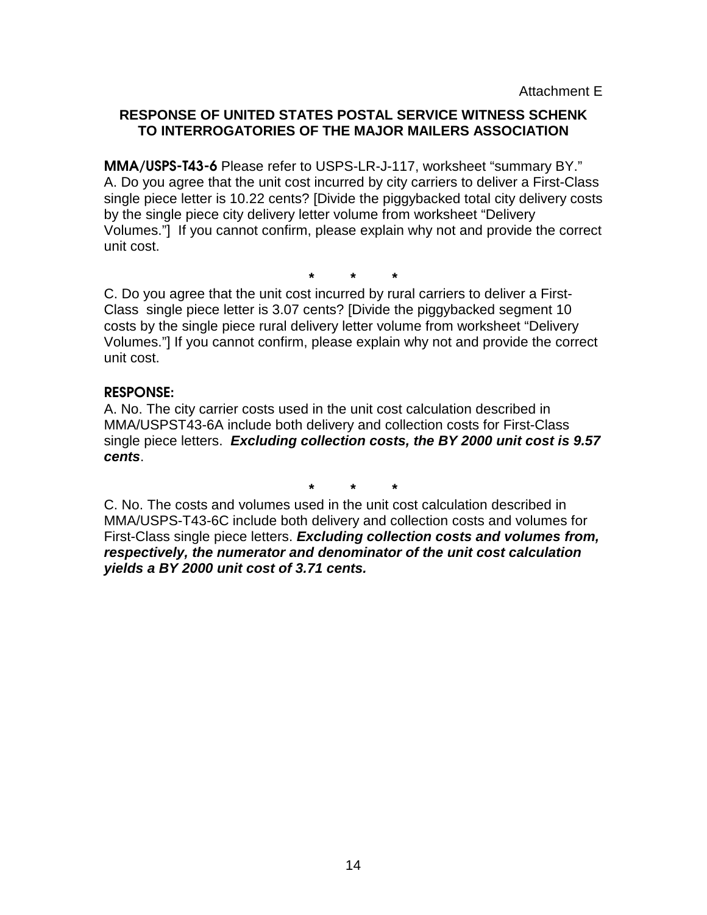Attachment E

# **RESPONSE OF UNITED STATES POSTAL SERVICE WITNESS SCHENK TO INTERROGATORIES OF THE MAJOR MAILERS ASSOCIATION**

**MMA/USPS-T43-6** Please refer to USPS-LR-J-117, worksheet "summary BY." A. Do you agree that the unit cost incurred by city carriers to deliver a First-Class single piece letter is 10.22 cents? [Divide the piggybacked total city delivery costs by the single piece city delivery letter volume from worksheet "Delivery Volumes."] If you cannot confirm, please explain why not and provide the correct unit cost.

**\* \* \***

C. Do you agree that the unit cost incurred by rural carriers to deliver a First-Class single piece letter is 3.07 cents? [Divide the piggybacked segment 10 costs by the single piece rural delivery letter volume from worksheet "Delivery Volumes."] If you cannot confirm, please explain why not and provide the correct unit cost.

## **RESPONSE:**

A. No. The city carrier costs used in the unit cost calculation described in MMA/USPST43-6A include both delivery and collection costs for First-Class single piece letters. **Excluding collection costs, the BY 2000 unit cost is 9.57 cents**.

**\* \* \***

C. No. The costs and volumes used in the unit cost calculation described in MMA/USPS-T43-6C include both delivery and collection costs and volumes for First-Class single piece letters. **Excluding collection costs and volumes from, respectively, the numerator and denominator of the unit cost calculation yields a BY 2000 unit cost of 3.71 cents.**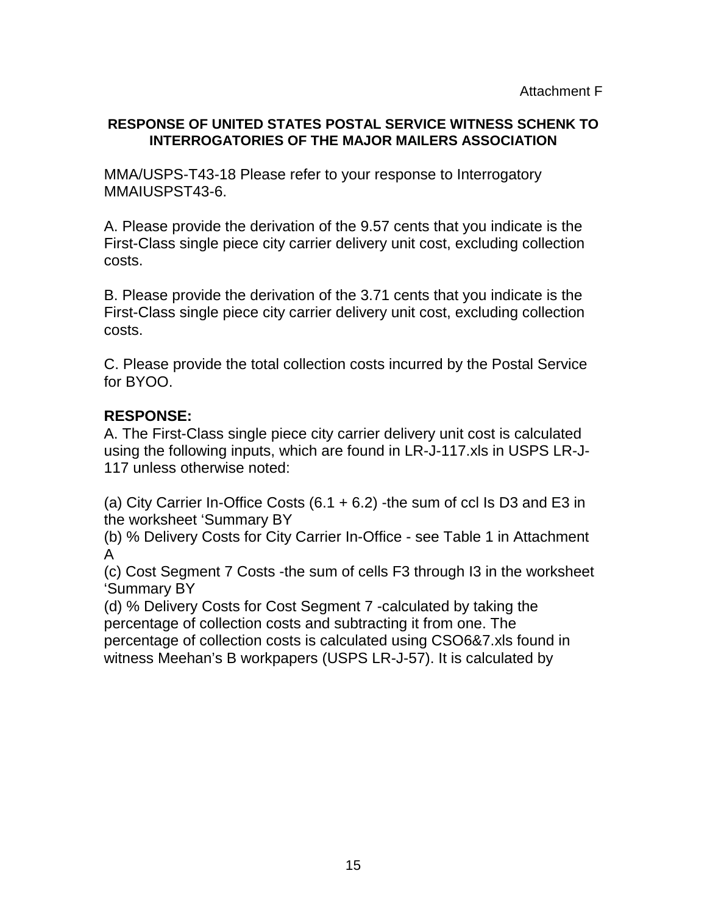# **RESPONSE OF UNITED STATES POSTAL SERVICE WITNESS SCHENK TO INTERROGATORIES OF THE MAJOR MAILERS ASSOCIATION**

MMA/USPS-T43-18 Please refer to your response to Interrogatory MMAIUSPST43-6.

A. Please provide the derivation of the 9.57 cents that you indicate is the First-Class single piece city carrier delivery unit cost, excluding collection costs.

B. Please provide the derivation of the 3.71 cents that you indicate is the First-Class single piece city carrier delivery unit cost, excluding collection costs.

C. Please provide the total collection costs incurred by the Postal Service for BYOO.

# **RESPONSE:**

A. The First-Class single piece city carrier delivery unit cost is calculated using the following inputs, which are found in LR-J-117.xls in USPS LR-J-117 unless otherwise noted:

(a) City Carrier In-Office Costs  $(6.1 + 6.2)$  -the sum of ccl Is D3 and E3 in the worksheet 'Summary BY

(b) % Delivery Costs for City Carrier In-Office - see Table 1 in Attachment A

(c) Cost Segment 7 Costs -the sum of cells F3 through I3 in the worksheet 'Summary BY

(d) % Delivery Costs for Cost Segment 7 -calculated by taking the percentage of collection costs and subtracting it from one. The percentage of collection costs is calculated using CSO6&7.xls found in witness Meehan's B workpapers (USPS LR-J-57). It is calculated by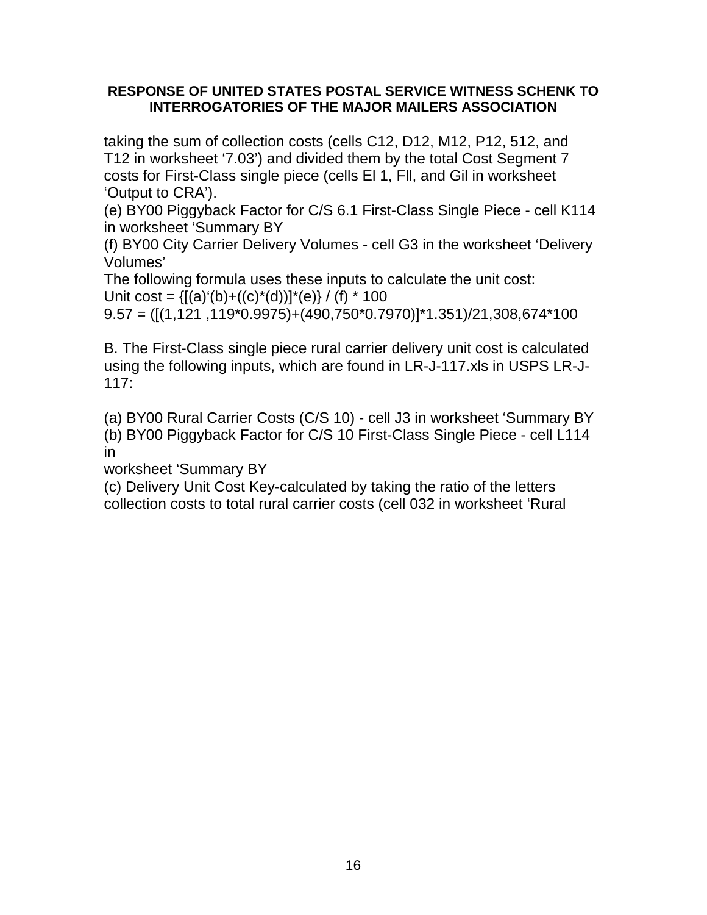## **RESPONSE OF UNITED STATES POSTAL SERVICE WITNESS SCHENK TO INTERROGATORIES OF THE MAJOR MAILERS ASSOCIATION**

taking the sum of collection costs (cells C12, D12, M12, P12, 512, and T12 in worksheet '7.03') and divided them by the total Cost Segment 7 costs for First-Class single piece (cells El 1, Fll, and Gil in worksheet 'Output to CRA').

(e) BY00 Piggyback Factor for C/S 6.1 First-Class Single Piece - cell K114 in worksheet 'Summary BY

(f) BY00 City Carrier Delivery Volumes - cell G3 in the worksheet 'Delivery Volumes'

The following formula uses these inputs to calculate the unit cost: Unit cost =  ${[(a)'(b)+( (c)*(d))]^*(e)} / {(f)}^* 100$ 

 $9.57 = ([(1,121,119*0.9975)+(490,750*0.7970)]$ \*1.351)/21,308,674\*100

B. The First-Class single piece rural carrier delivery unit cost is calculated using the following inputs, which are found in LR-J-117.xls in USPS LR-J-117:

(a) BY00 Rural Carrier Costs (C/S 10) - cell J3 in worksheet 'Summary BY (b) BY00 Piggyback Factor for C/S 10 First-Class Single Piece - cell L114 in

worksheet 'Summary BY

(c) Delivery Unit Cost Key-calculated by taking the ratio of the letters collection costs to total rural carrier costs (cell 032 in worksheet 'Rural